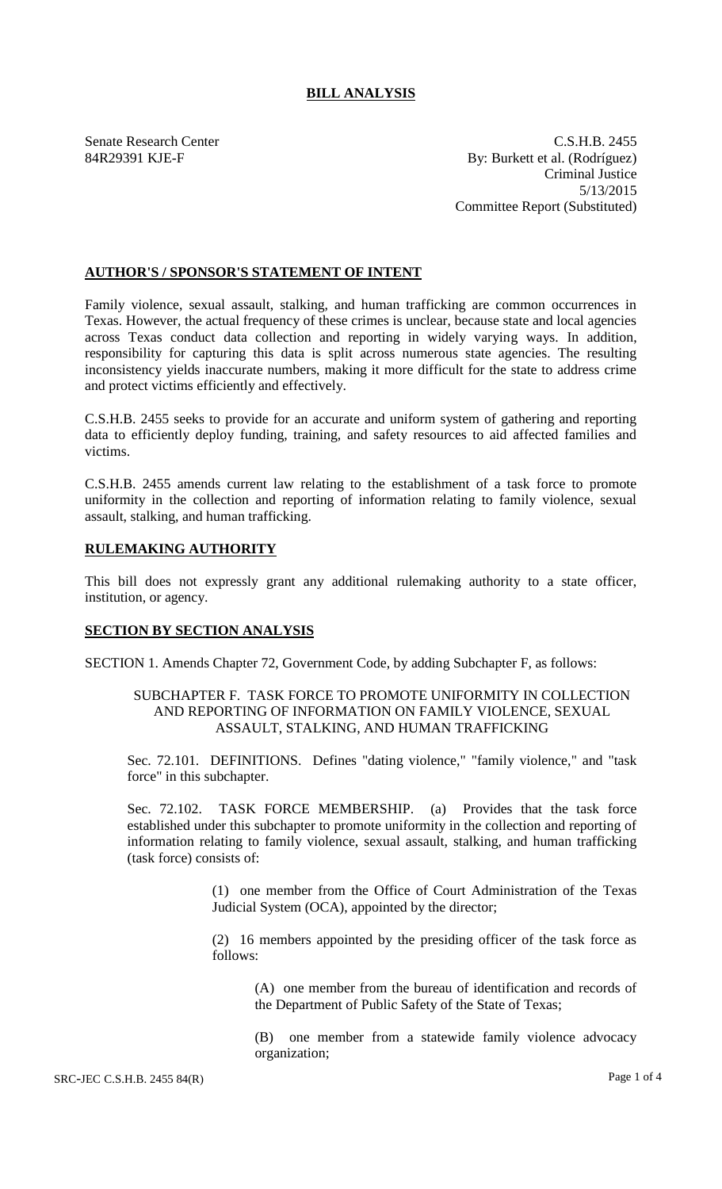# **BILL ANALYSIS**

Senate Research Center C.S.H.B. 2455 84R29391 KJE-F By: Burkett et al. (Rodríguez) Criminal Justice 5/13/2015 Committee Report (Substituted)

## **AUTHOR'S / SPONSOR'S STATEMENT OF INTENT**

Family violence, sexual assault, stalking, and human trafficking are common occurrences in Texas. However, the actual frequency of these crimes is unclear, because state and local agencies across Texas conduct data collection and reporting in widely varying ways. In addition, responsibility for capturing this data is split across numerous state agencies. The resulting inconsistency yields inaccurate numbers, making it more difficult for the state to address crime and protect victims efficiently and effectively.

C.S.H.B. 2455 seeks to provide for an accurate and uniform system of gathering and reporting data to efficiently deploy funding, training, and safety resources to aid affected families and victims.

C.S.H.B. 2455 amends current law relating to the establishment of a task force to promote uniformity in the collection and reporting of information relating to family violence, sexual assault, stalking, and human trafficking.

# **RULEMAKING AUTHORITY**

This bill does not expressly grant any additional rulemaking authority to a state officer, institution, or agency.

#### **SECTION BY SECTION ANALYSIS**

SECTION 1. Amends Chapter 72, Government Code, by adding Subchapter F, as follows:

#### SUBCHAPTER F. TASK FORCE TO PROMOTE UNIFORMITY IN COLLECTION AND REPORTING OF INFORMATION ON FAMILY VIOLENCE, SEXUAL ASSAULT, STALKING, AND HUMAN TRAFFICKING

Sec. 72.101. DEFINITIONS. Defines "dating violence," "family violence," and "task force" in this subchapter.

Sec. 72.102. TASK FORCE MEMBERSHIP. (a) Provides that the task force established under this subchapter to promote uniformity in the collection and reporting of information relating to family violence, sexual assault, stalking, and human trafficking (task force) consists of:

> (1) one member from the Office of Court Administration of the Texas Judicial System (OCA), appointed by the director;

> (2) 16 members appointed by the presiding officer of the task force as follows:

(A) one member from the bureau of identification and records of the Department of Public Safety of the State of Texas;

(B) one member from a statewide family violence advocacy organization;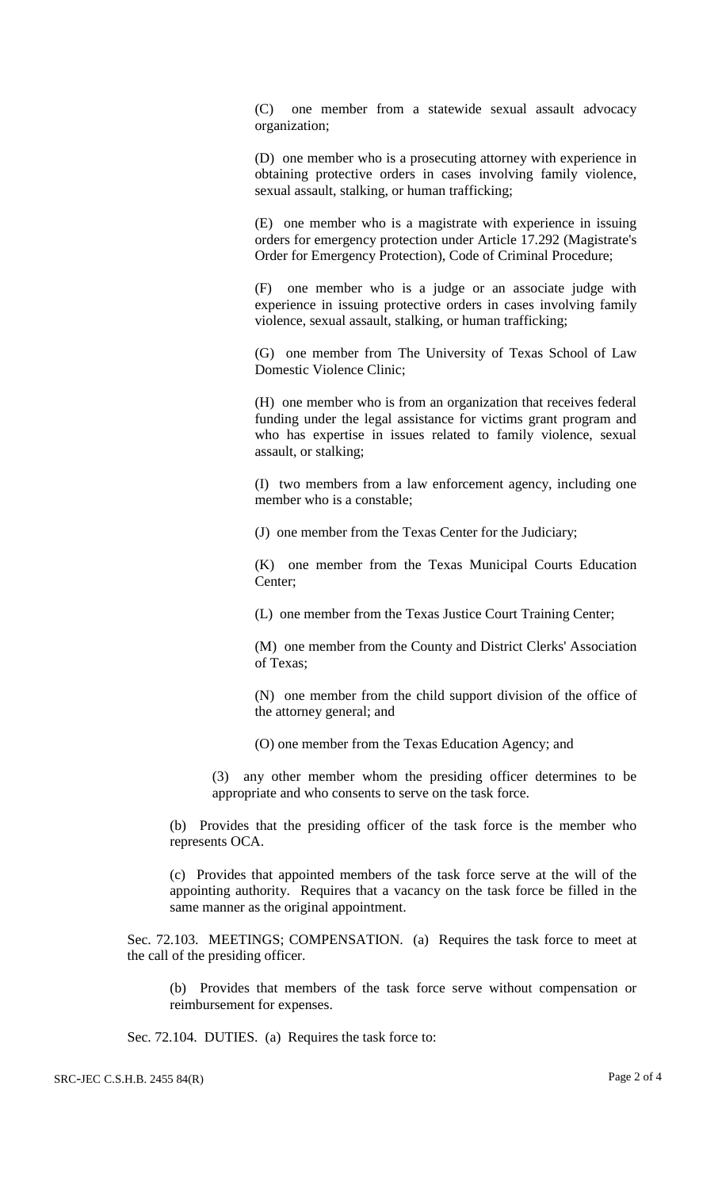(C) one member from a statewide sexual assault advocacy organization;

(D) one member who is a prosecuting attorney with experience in obtaining protective orders in cases involving family violence, sexual assault, stalking, or human trafficking;

(E) one member who is a magistrate with experience in issuing orders for emergency protection under Article 17.292 (Magistrate's Order for Emergency Protection), Code of Criminal Procedure;

(F) one member who is a judge or an associate judge with experience in issuing protective orders in cases involving family violence, sexual assault, stalking, or human trafficking;

(G) one member from The University of Texas School of Law Domestic Violence Clinic;

(H) one member who is from an organization that receives federal funding under the legal assistance for victims grant program and who has expertise in issues related to family violence, sexual assault, or stalking;

(I) two members from a law enforcement agency, including one member who is a constable;

(J) one member from the Texas Center for the Judiciary;

(K) one member from the Texas Municipal Courts Education Center;

(L) one member from the Texas Justice Court Training Center;

(M) one member from the County and District Clerks' Association of Texas;

(N) one member from the child support division of the office of the attorney general; and

(O) one member from the Texas Education Agency; and

(3) any other member whom the presiding officer determines to be appropriate and who consents to serve on the task force.

(b) Provides that the presiding officer of the task force is the member who represents OCA.

(c) Provides that appointed members of the task force serve at the will of the appointing authority. Requires that a vacancy on the task force be filled in the same manner as the original appointment.

Sec. 72.103. MEETINGS; COMPENSATION. (a) Requires the task force to meet at the call of the presiding officer.

(b) Provides that members of the task force serve without compensation or reimbursement for expenses.

Sec. 72.104. DUTIES. (a) Requires the task force to: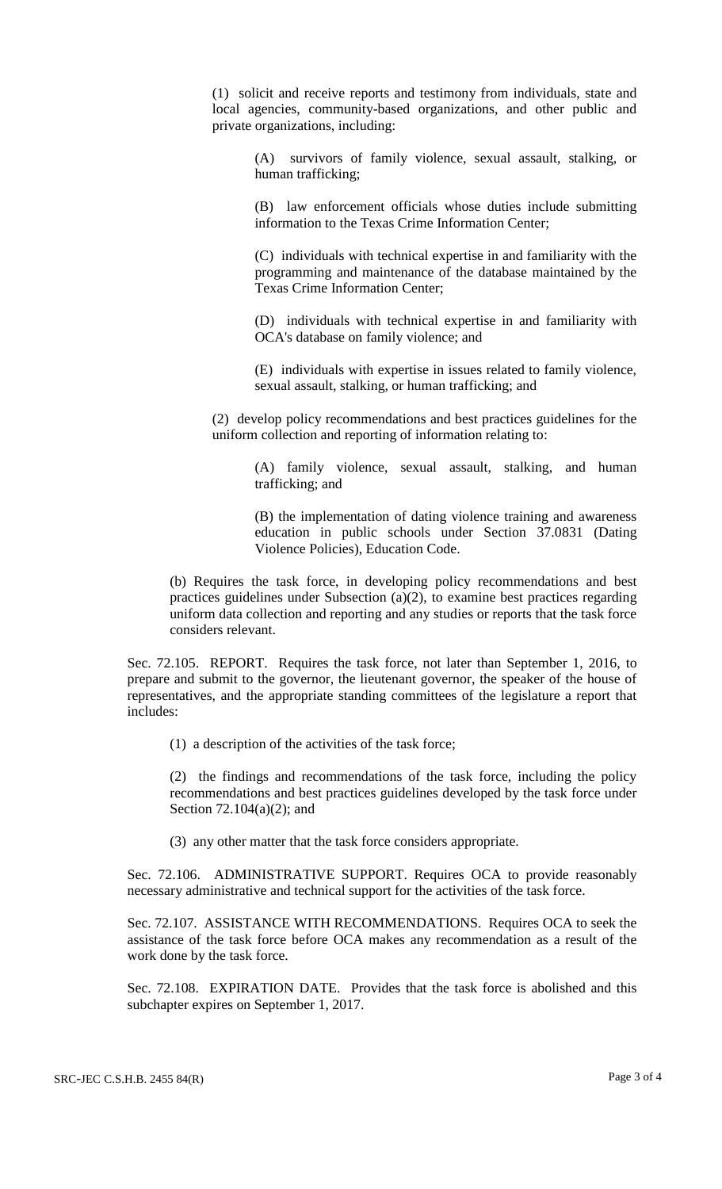(1) solicit and receive reports and testimony from individuals, state and local agencies, community-based organizations, and other public and private organizations, including:

(A) survivors of family violence, sexual assault, stalking, or human trafficking;

(B) law enforcement officials whose duties include submitting information to the Texas Crime Information Center;

(C) individuals with technical expertise in and familiarity with the programming and maintenance of the database maintained by the Texas Crime Information Center;

(D) individuals with technical expertise in and familiarity with OCA's database on family violence; and

(E) individuals with expertise in issues related to family violence, sexual assault, stalking, or human trafficking; and

(2) develop policy recommendations and best practices guidelines for the uniform collection and reporting of information relating to:

(A) family violence, sexual assault, stalking, and human trafficking; and

(B) the implementation of dating violence training and awareness education in public schools under Section 37.0831 (Dating Violence Policies), Education Code.

(b) Requires the task force, in developing policy recommendations and best practices guidelines under Subsection (a)(2), to examine best practices regarding uniform data collection and reporting and any studies or reports that the task force considers relevant.

Sec. 72.105. REPORT. Requires the task force, not later than September 1, 2016, to prepare and submit to the governor, the lieutenant governor, the speaker of the house of representatives, and the appropriate standing committees of the legislature a report that includes:

(1) a description of the activities of the task force;

(2) the findings and recommendations of the task force, including the policy recommendations and best practices guidelines developed by the task force under Section 72.104(a)(2); and

(3) any other matter that the task force considers appropriate.

Sec. 72.106. ADMINISTRATIVE SUPPORT. Requires OCA to provide reasonably necessary administrative and technical support for the activities of the task force.

Sec. 72.107. ASSISTANCE WITH RECOMMENDATIONS. Requires OCA to seek the assistance of the task force before OCA makes any recommendation as a result of the work done by the task force.

Sec. 72.108. EXPIRATION DATE. Provides that the task force is abolished and this subchapter expires on September 1, 2017.